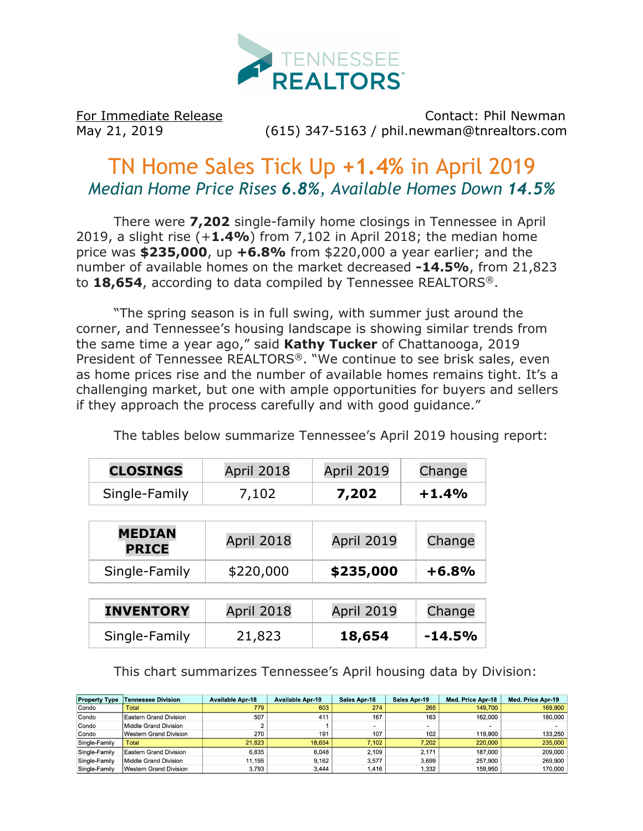

For Immediate Release Contact: Phil Newman May 21, 2019 (615) 347-5163 / phil.newman@tnrealtors.com

## TN Home Sales Tick Up **+1.4%** in April 2019 *Median Home Price Rises 6.8%, Available Homes Down 14.5%*

There were **7,202** single-family home closings in Tennessee in April 2019, a slight rise (+**1.4%**) from 7,102 in April 2018; the median home price was **\$235,000**, up **+6.8%** from \$220,000 a year earlier; and the number of available homes on the market decreased **-14.5%**, from 21,823 to **18,654**, according to data compiled by Tennessee REALTORS®.

"The spring season is in full swing, with summer just around the corner, and Tennessee's housing landscape is showing similar trends from the same time a year ago," said **Kathy Tucker** of Chattanooga, 2019 President of Tennessee REALTORS®. "We continue to see brisk sales, even as home prices rise and the number of available homes remains tight. It's a challenging market, but one with ample opportunities for buyers and sellers if they approach the process carefully and with good guidance."

The tables below summarize Tennessee's April 2019 housing report:

| <b>CLOSINGS</b> | <b>April 2018</b> | <b>April 2019</b> | Change  |  |
|-----------------|-------------------|-------------------|---------|--|
| Single-Family   | 7,102             | 7,202             | $+1.4%$ |  |

| <b>MEDIAN</b><br><b>PRICE</b> | April 2018 | <b>April 2019</b> | Change  |  |
|-------------------------------|------------|-------------------|---------|--|
| Single-Family                 | \$220,000  | \$235,000         | $+6.8%$ |  |
|                               |            |                   |         |  |

| <b>INVENTORY</b> | <b>April 2018</b> | April 2019 | Change   |  |
|------------------|-------------------|------------|----------|--|
| Single-Family    | 21,823            | 18,654     | $-14.5%$ |  |

This chart summarizes Tennessee's April housing data by Division:

| <b>Property Type</b> | Tennessee Division     | <b>Available Apr-18</b> | <b>Available Apr-19</b> | Sales Apr-18             | Sales Apr-19 | Med. Price Apr-18 | Med. Price Apr-19 |
|----------------------|------------------------|-------------------------|-------------------------|--------------------------|--------------|-------------------|-------------------|
| Condo                | Total                  | 779                     | 603                     | 274                      | 265          | 149,700           | 169,900           |
| Condo                | Eastern Grand Division | 507                     | 411                     | 167                      | 163          | 162,000           | 180,000           |
| Condo                | Middle Grand Division  | ∠                       |                         | $\overline{\phantom{a}}$ |              |                   |                   |
| Condo                | Western Grand Division | 270                     | 191                     | 107                      | 102          | 119,900           | 133,250           |
| Single-Family        | Total                  | 21.823                  | 18.654                  | 7.102                    | 7.202        | 220,000           | 235,000           |
| Single-Family        | Eastern Grand Division | 6.835                   | 6.048                   | 2.109                    | 2.171        | 187,000           | 209,000           |
| Single-Family        | Middle Grand Division  | 11.195                  | 9.162                   | 3.577                    | 3.699        | 257.900           | 269.900           |
| Single-Family        | Western Grand Division | 3,793                   | 3,444                   | .416                     | 1,332        | 159.950           | 170,000           |